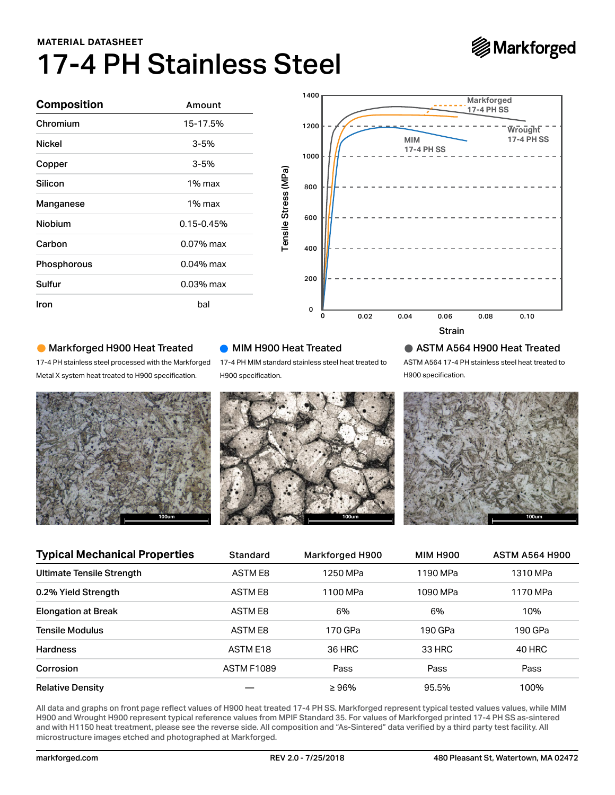# 17-4 PH Stainless Steel **MATERIAL DATASHEET**



| <b>Composition</b> | Amount<br>15-17.5%<br>$3 - 5%$ |  |  |  |  |
|--------------------|--------------------------------|--|--|--|--|
| Chromium           |                                |  |  |  |  |
| <b>Nickel</b>      |                                |  |  |  |  |
| Copper             | $3 - 5%$                       |  |  |  |  |
| Silicon            | 1% max                         |  |  |  |  |
| Manganese          | 1% max                         |  |  |  |  |
| Niobium            | $0.15 - 0.45%$                 |  |  |  |  |
| Carbon             | $0.07\%$ max                   |  |  |  |  |
| Phosphorous        | $0.04\%$ max                   |  |  |  |  |
| Sulfur             | $0.03%$ max                    |  |  |  |  |
| Iron               | bal                            |  |  |  |  |



### Markforged H900 Heat Treated



## **MIM H900 Heat Treated**

### ASTM A564 H900 Heat Treated



| Silicon                                                                                                                                                                                                                                                                                                                                                                                                                                                                                                      | 1% max         |                     | Tensile Stress (MPa)<br>800 |                                                               |                                      |                       |                                                                                                            |  |
|--------------------------------------------------------------------------------------------------------------------------------------------------------------------------------------------------------------------------------------------------------------------------------------------------------------------------------------------------------------------------------------------------------------------------------------------------------------------------------------------------------------|----------------|---------------------|-----------------------------|---------------------------------------------------------------|--------------------------------------|-----------------------|------------------------------------------------------------------------------------------------------------|--|
| Manganese                                                                                                                                                                                                                                                                                                                                                                                                                                                                                                    | 1% max         |                     |                             |                                                               |                                      |                       |                                                                                                            |  |
| Niobium                                                                                                                                                                                                                                                                                                                                                                                                                                                                                                      | $0.15 - 0.45%$ |                     | 600                         |                                                               |                                      |                       |                                                                                                            |  |
| Carbon                                                                                                                                                                                                                                                                                                                                                                                                                                                                                                       | 0.07% max      |                     | 400                         |                                                               |                                      |                       |                                                                                                            |  |
| Phosphorous                                                                                                                                                                                                                                                                                                                                                                                                                                                                                                  | 0.04% max      |                     |                             |                                                               |                                      |                       |                                                                                                            |  |
| Sulfur                                                                                                                                                                                                                                                                                                                                                                                                                                                                                                       | 0.03% max      |                     | 200                         |                                                               |                                      |                       |                                                                                                            |  |
| Iron                                                                                                                                                                                                                                                                                                                                                                                                                                                                                                         | bal            |                     | 0                           |                                                               |                                      |                       |                                                                                                            |  |
|                                                                                                                                                                                                                                                                                                                                                                                                                                                                                                              |                |                     | o                           | 0.02                                                          | 0.04                                 | 0.06<br><b>Strain</b> | 0.10<br>0.08                                                                                               |  |
| • Markforged H900 Heat Treated<br>17-4 PH stainless steel processed with the Markforged<br>Metal X system heat treated to H900 specification.                                                                                                                                                                                                                                                                                                                                                                | 100um          | H900 specification. | MIM H900 Heat Treated       | 17-4 PH MIM standard stainless steel heat treated to<br>100um |                                      | H900 specification.   | $\bullet$ ASTM A564 H900 Heat Treated<br>ASTM A564 17-4 PH stainless steel heat treated to<br><b>100um</b> |  |
| <b>Typical Mechanical Properties</b>                                                                                                                                                                                                                                                                                                                                                                                                                                                                         |                | <b>Standard</b>     |                             | Markforged H900                                               |                                      | <b>MIM H900</b>       | <b>ASTM A564 H900</b>                                                                                      |  |
| <b>Ultimate Tensile Strength</b>                                                                                                                                                                                                                                                                                                                                                                                                                                                                             |                | <b>ASTM E8</b>      |                             | 1250 MPa                                                      |                                      | 1190 MPa              | 1310 MPa                                                                                                   |  |
| 0.2% Yield Strength                                                                                                                                                                                                                                                                                                                                                                                                                                                                                          |                | <b>ASTM E8</b>      |                             | 1100 MPa                                                      |                                      | 1090 MPa              | 1170 MPa                                                                                                   |  |
| <b>Elongation at Break</b>                                                                                                                                                                                                                                                                                                                                                                                                                                                                                   |                | <b>ASTM E8</b>      |                             | 6%                                                            |                                      | 6%                    | 10%                                                                                                        |  |
| <b>Tensile Modulus</b>                                                                                                                                                                                                                                                                                                                                                                                                                                                                                       |                | ASTM E8             |                             | 170 GPa                                                       |                                      | 190 GPa               | 190 GPa                                                                                                    |  |
| <b>Hardness</b>                                                                                                                                                                                                                                                                                                                                                                                                                                                                                              |                | ASTM E18            |                             | 36 HRC                                                        |                                      | 33 HRC                | 40 HRC                                                                                                     |  |
| Corrosion                                                                                                                                                                                                                                                                                                                                                                                                                                                                                                    |                | <b>ASTM F1089</b>   |                             | Pass                                                          |                                      | Pass                  | Pass                                                                                                       |  |
| <b>Relative Density</b>                                                                                                                                                                                                                                                                                                                                                                                                                                                                                      |                |                     |                             | $\geq 96\%$                                                   |                                      | 95.5%                 | 100%                                                                                                       |  |
| All data and graphs on front page reflect values of H900 heat treated 17-4 PH SS. Markforged represent typical tested values values, while MIM<br>H900 and Wrought H900 represent typical reference values from MPIF Standard 35. For values of Markforged printed 17-4 PH SS as-sintered<br>and with H1150 heat treatment, please see the reverse side. All composition and "As-Sintered" data verified by a third party test facility. All<br>microstructure images etched and photographed at Markforged. |                |                     |                             |                                                               |                                      |                       |                                                                                                            |  |
| markforged.com                                                                                                                                                                                                                                                                                                                                                                                                                                                                                               |                | REV 2.0 - 7/25/2018 |                             |                                                               | 480 Pleasant St, Watertown, MA 02472 |                       |                                                                                                            |  |